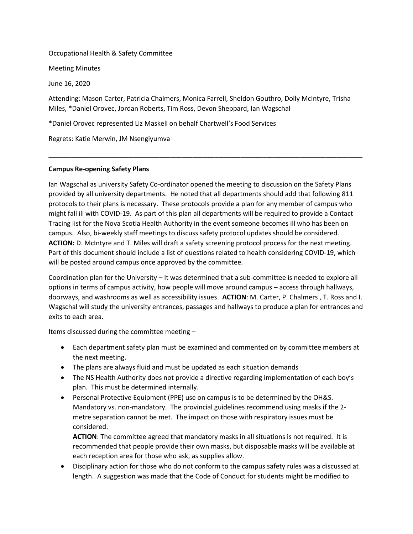Occupational Health & Safety Committee

Meeting Minutes

June 16, 2020

Attending: Mason Carter, Patricia Chalmers, Monica Farrell, Sheldon Gouthro, Dolly McIntyre, Trisha Miles, \*Daniel Orovec, Jordan Roberts, Tim Ross, Devon Sheppard, Ian Wagschal

\_\_\_\_\_\_\_\_\_\_\_\_\_\_\_\_\_\_\_\_\_\_\_\_\_\_\_\_\_\_\_\_\_\_\_\_\_\_\_\_\_\_\_\_\_\_\_\_\_\_\_\_\_\_\_\_\_\_\_\_\_\_\_\_\_\_\_\_\_\_\_\_\_\_\_\_\_\_\_\_\_\_\_\_\_

\*Daniel Orovec represented Liz Maskell on behalf Chartwell's Food Services

Regrets: Katie Merwin, JM Nsengiyumva

## **Campus Re-opening Safety Plans**

Ian Wagschal as university Safety Co-ordinator opened the meeting to discussion on the Safety Plans provided by all university departments. He noted that all departments should add that following 811 protocols to their plans is necessary. These protocols provide a plan for any member of campus who might fall ill with COVID-19. As part of this plan all departments will be required to provide a Contact Tracing list for the Nova Scotia Health Authority in the event someone becomes ill who has been on campus. Also, bi-weekly staff meetings to discuss safety protocol updates should be considered. **ACTION:** D. McIntyre and T. Miles will draft a safety screening protocol process for the next meeting. Part of this document should include a list of questions related to health considering COVID-19, which will be posted around campus once approved by the committee.

Coordination plan for the University – It was determined that a sub-committee is needed to explore all options in terms of campus activity, how people will move around campus – access through hallways, doorways, and washrooms as well as accessibility issues. **ACTION**: M. Carter, P. Chalmers , T. Ross and I. Wagschal will study the university entrances, passages and hallways to produce a plan for entrances and exits to each area.

Items discussed during the committee meeting –

- Each department safety plan must be examined and commented on by committee members at the next meeting.
- The plans are always fluid and must be updated as each situation demands
- The NS Health Authority does not provide a directive regarding implementation of each boy's plan. This must be determined internally.
- Personal Protective Equipment (PPE) use on campus is to be determined by the OH&S. Mandatory vs. non-mandatory. The provincial guidelines recommend using masks if the 2 metre separation cannot be met. The impact on those with respiratory issues must be considered.

**ACTION**: The committee agreed that mandatory masks in all situations is not required. It is recommended that people provide their own masks, but disposable masks will be available at each reception area for those who ask, as supplies allow.

• Disciplinary action for those who do not conform to the campus safety rules was a discussed at length. A suggestion was made that the Code of Conduct for students might be modified to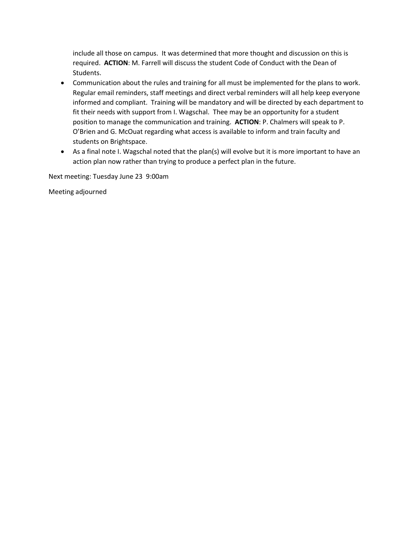include all those on campus. It was determined that more thought and discussion on this is required. **ACTION**: M. Farrell will discuss the student Code of Conduct with the Dean of Students.

- Communication about the rules and training for all must be implemented for the plans to work. Regular email reminders, staff meetings and direct verbal reminders will all help keep everyone informed and compliant. Training will be mandatory and will be directed by each department to fit their needs with support from I. Wagschal. Thee may be an opportunity for a student position to manage the communication and training. **ACTION**: P. Chalmers will speak to P. O'Brien and G. McOuat regarding what access is available to inform and train faculty and students on Brightspace.
- As a final note I. Wagschal noted that the plan(s) will evolve but it is more important to have an action plan now rather than trying to produce a perfect plan in the future.

Next meeting: Tuesday June 23 9:00am

Meeting adjourned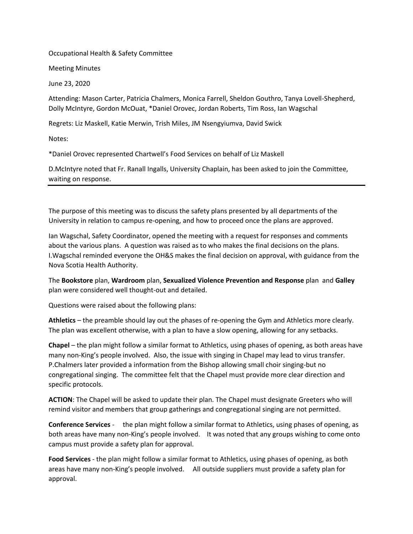Occupational Health & Safety Committee

Meeting Minutes

June 23, 2020

Attending: Mason Carter, Patricia Chalmers, Monica Farrell, Sheldon Gouthro, Tanya Lovell-Shepherd, Dolly McIntyre, Gordon McOuat, \*Daniel Orovec, Jordan Roberts, Tim Ross, Ian Wagschal

Regrets: Liz Maskell, Katie Merwin, Trish Miles, JM Nsengyiumva, David Swick

Notes:

\*Daniel Orovec represented Chartwell's Food Services on behalf of Liz Maskell

D.McIntyre noted that Fr. Ranall Ingalls, University Chaplain, has been asked to join the Committee, waiting on response.

The purpose of this meeting was to discuss the safety plans presented by all departments of the University in relation to campus re-opening, and how to proceed once the plans are approved.

Ian Wagschal, Safety Coordinator, opened the meeting with a request for responses and comments about the various plans. A question was raised as to who makes the final decisions on the plans. I.Wagschal reminded everyone the OH&S makes the final decision on approval, with guidance from the Nova Scotia Health Authority.

The **Bookstore** plan, **Wardroom** plan, **Sexualized Violence Prevention and Response** plan and **Galley** plan were considered well thought-out and detailed.

Questions were raised about the following plans:

**Athletics** – the preamble should lay out the phases of re-opening the Gym and Athletics more clearly. The plan was excellent otherwise, with a plan to have a slow opening, allowing for any setbacks.

**Chapel** – the plan might follow a similar format to Athletics, using phases of opening, as both areas have many non-King's people involved. Also, the issue with singing in Chapel may lead to virus transfer. P.Chalmers later provided a information from the Bishop allowing small choir singing-but no congregational singing. The committee felt that the Chapel must provide more clear direction and specific protocols.

**ACTION**: The Chapel will be asked to update their plan. The Chapel must designate Greeters who will remind visitor and members that group gatherings and congregational singing are not permitted.

**Conference Services** - the plan might follow a similar format to Athletics, using phases of opening, as both areas have many non-King's people involved. It was noted that any groups wishing to come onto campus must provide a safety plan for approval.

**Food Services** - the plan might follow a similar format to Athletics, using phases of opening, as both areas have many non-King's people involved. All outside suppliers must provide a safety plan for approval.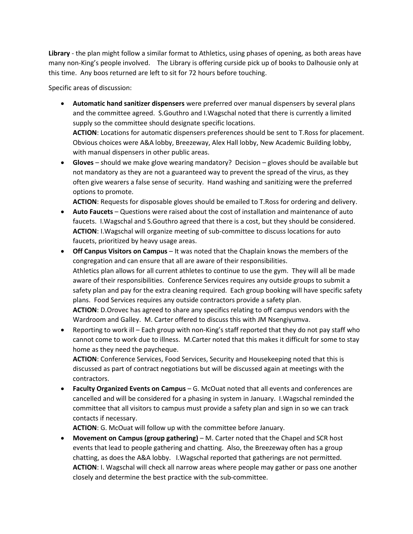**Library** - the plan might follow a similar format to Athletics, using phases of opening, as both areas have many non-King's people involved. The Library is offering curside pick up of books to Dalhousie only at this time. Any boos returned are left to sit for 72 hours before touching.

Specific areas of discussion:

• **Automatic hand sanitizer dispensers** were preferred over manual dispensers by several plans and the committee agreed. S.Gouthro and I.Wagschal noted that there is currently a limited supply so the committee should designate specific locations.

**ACTION**: Locations for automatic dispensers preferences should be sent to T.Ross for placement. Obvious choices were A&A lobby, Breezeway, Alex Hall lobby, New Academic Building lobby, with manual dispensers in other public areas.

• **Gloves** – should we make glove wearing mandatory? Decision – gloves should be available but not mandatory as they are not a guaranteed way to prevent the spread of the virus, as they often give wearers a false sense of security. Hand washing and sanitizing were the preferred options to promote.

**ACTION**: Requests for disposable gloves should be emailed to T.Ross for ordering and delivery.

- **Auto Faucets** Questions were raised about the cost of installation and maintenance of auto faucets. I.Wagschal and S.Gouthro agreed that there is a cost, but they should be considered. **ACTION**: I.Wagschal will organize meeting of sub-committee to discuss locations for auto faucets, prioritized by heavy usage areas.
- **Off Canpus Visitors on Campus**  It was noted that the Chaplain knows the members of the congregation and can ensure that all are aware of their responsibilities. Athletics plan allows for all current athletes to continue to use the gym. They will all be made aware of their responsibilities. Conference Services requires any outside groups to submit a safety plan and pay for the extra cleaning required. Each group booking will have specific safety plans. Food Services requires any outside contractors provide a safety plan. **ACTION**: D.Orovec has agreed to share any specifics relating to off campus vendors with the Wardroom and Galley. M. Carter offered to discuss this with JM Nsengiyumva.
- Reporting to work ill Each group with non-King's staff reported that they do not pay staff who cannot come to work due to illness. M.Carter noted that this makes it difficult for some to stay home as they need the paycheque.

**ACTION**: Conference Services, Food Services, Security and Housekeeping noted that this is discussed as part of contract negotiations but will be discussed again at meetings with the contractors.

• **Faculty Organized Events on Campus** – G. McOuat noted that all events and conferences are cancelled and will be considered for a phasing in system in January. I.Wagschal reminded the committee that all visitors to campus must provide a safety plan and sign in so we can track contacts if necessary.

**ACTION**: G. McOuat will follow up with the committee before January.

• **Movement on Campus (group gathering)** – M. Carter noted that the Chapel and SCR host events that lead to people gathering and chatting. Also, the Breezeway often has a group chatting, as does the A&A lobby. I.Wagschal reported that gatherings are not permitted. **ACTION**: I. Wagschal will check all narrow areas where people may gather or pass one another closely and determine the best practice with the sub-committee.